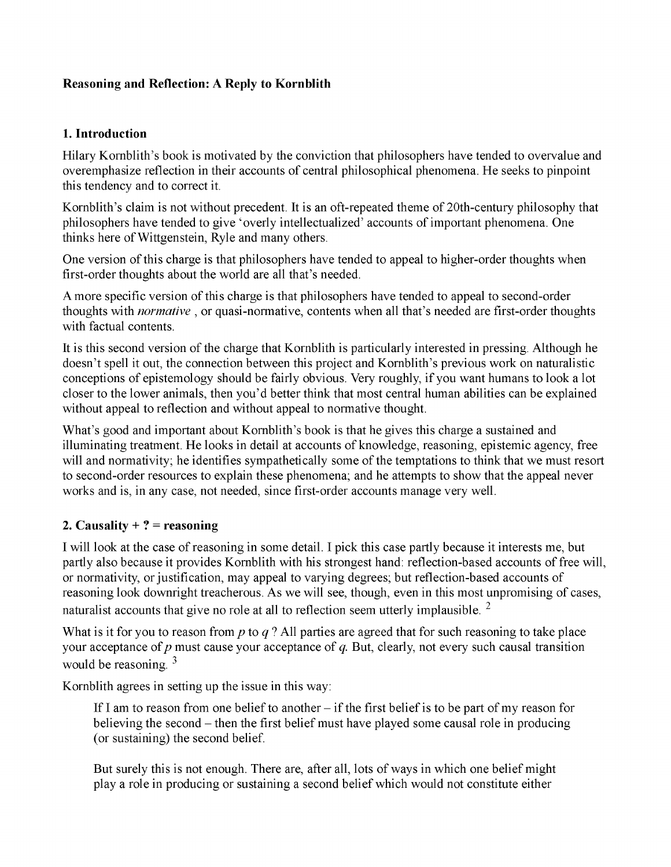### Reasoning and Reflection:A Reply to Kornblith

#### 1. Introduction

Hilary Kornblith's book is motivated by the conviction that philosophers have tended to overvalue and overemphasize reflection in their accounts of central philosophical phenomena. He seeks to pinpoint this tendency and to correct it.

Kornblith's claim is not without precedent. It is an oft-repeated theme of 20th-century philosophy that philosophers have tended to give 'overly intellectualized'accounts of important phenomena. One thinks here of Wittgenstein, Ryle and many others.

One version of this charge is that philosophers have tended to appeal to higher-order thoughts when first-order thoughts about the world are all that's needed.

Amore specific version of this charge is that philosophers have tended to appeal to second-order thoughts with *normative*, or quasi-normative, contents when all that's needed are first-order thoughts with factual contents.

It is this second version of the charge that Kornblith is particularly interested in pressing. Although he doesn't spell it out, the connection between this project and Kornblith's previous work on naturalistic conceptions of epistemology should be fairly obvious. Very roughly, if you want humans to look a lot closer to the lower animals, then you'd better think that most central human abilities can be explained without appeal to reflection and without appeal to normative thought.

What's good and important about Kornblith's book is that he gives this charge a sustained and illuminating treatment. He looks in detail at accounts of knowledge, reasoning, epistemic agency, free will and normativity; he identifies sympathetically some of the temptations to think that we must resort to second-order resources to explain these phenomena; and he attempts to show that the appeal never works and is, in any case, not needed, since first-order accounts manage very well.

#### 2. Causality  $+ ? =$  reasoning

I will look at the case of reasoning in some detail. I pick this case partly because it interests me, but partly also because it provides Kornblith with his strongest hand: reflection-based accounts of free will, or normativity, or justification, may appeal to varying degrees; but reflection-based accounts of reasoning look downright treacherous. As we will see, though, even in this most unpromising of cases, naturalist accounts that give no role at all to reflection seem utterly implausible.  $2$ 

What is it for you to reason from  $p$  to  $q$ ? All parties are agreed that for such reasoning to take place your acceptance of  $p$  must cause your acceptance of  $q$ . But, clearly, not every such causal transition would be reasoning. 3

Kornblith agrees in setting up the issue in this way:

If I am to reason from one belief to another  $-$  if the first belief is to be part of my reason for believing the second – then the first belief must have played some causal role in producing (or sustaining) the second belief.

But surely this is not enough. There are, after all, lots of ways in which one belief might play a role in producing or sustaining a second belief which would not constitute either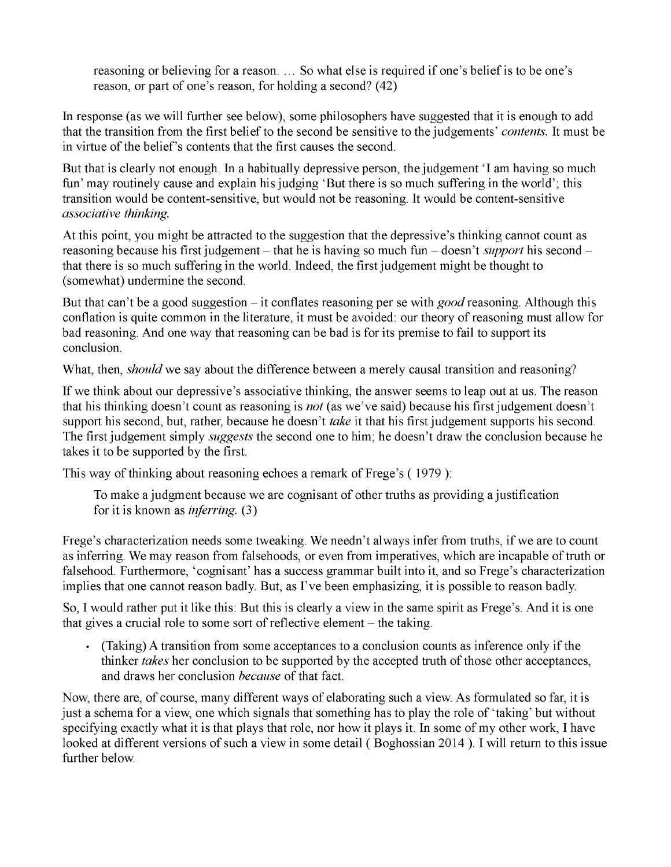reasoning or believing for a reason. ... So what else is required if one's belief is to be one's reason, or part of one's reason, for holding a second? (42)

In response (as we will further see below), some philosophers have suggested that it is enough to add that the transition from the first belief to the second be sensitive to the judgements' *contents*. It must be in virtue of the belief's contents that the first causes the second.

But that is clearly not enough. In a habitually depressive person, the judgement 'I am having so much fun' may routinely cause and explain his judging 'But there is so much suffering in the world'; this transition would be content-sensitive, but would not be reasoning. It would be content-sensitive associative thinking.

At this point, you might be attracted to the suggestion that the depressive's thinking cannot count as reasoning because his first judgement – that he is having so much fun – doesn't *support* his second – that there is so much suffering in the world. Indeed, the first judgement might be thought to (somewhat) undermine the second.

But that can't be a good suggestion – it conflates reasoning per se with *good* reasoning. Although this conflation is quite common in the literature, it must be avoided: our theory of reasoning must allow for bad reasoning. And one way that reasoning can be bad is for its premise to fail to support its conclusion.

What, then, *should* we say about the difference between a merely causal transition and reasoning?

If we think about our depressive's associative thinking, the answer seems to leap out at us. The reason that his thinking doesn't count as reasoning is *not* (as we've said) because his first judgement doesn't support his second, but, rather, because he doesn't *take* it that his first judgement supports his second. The first judgement simply *suggests* the second one to him; he doesn't draw the conclusion because he takes it to be supported by the first.

This way of thinking about reasoning echoes a remark of Frege's (1979):

To make a judgment because we are cognisant of other truths as providing a justification for it is known as *inferring.* (3)

Frege's characterization needs some tweaking. We needn't always infer from truths, if we are to count as inferring. We may reason from falsehoods, or even from imperatives, which are incapable of truth or falsehood. Furthermore, 'cognisant' has a success grammar built into it, and so Frege's characterization implies that one cannot reason badly. But, as I've been emphasizing, it is possible to reason badly.

So, I would rather put it like this: But this is clearly a view in the same spirit as Frege's. And it is one that gives a crucial role to some sort of reflective element  $-$  the taking.

• (Taking) A transition from some acceptances to a conclusion counts as inference only if the thinker *takes* her conclusion to be supported by the accepted truth of those other acceptances, and draws her conclusion *because* of that fact.

Now, there are, of course, many different ways of elaborating such a view. As formulated so far, it is just a schema for a view, one which signals that something has to play the role of 'taking' but without specifying exactly what it is that plays that role, nor how it plays it. In some of my other work, I have looked at different versions of such a view in some detail (Boghossian 2014). I will return to this issue further below.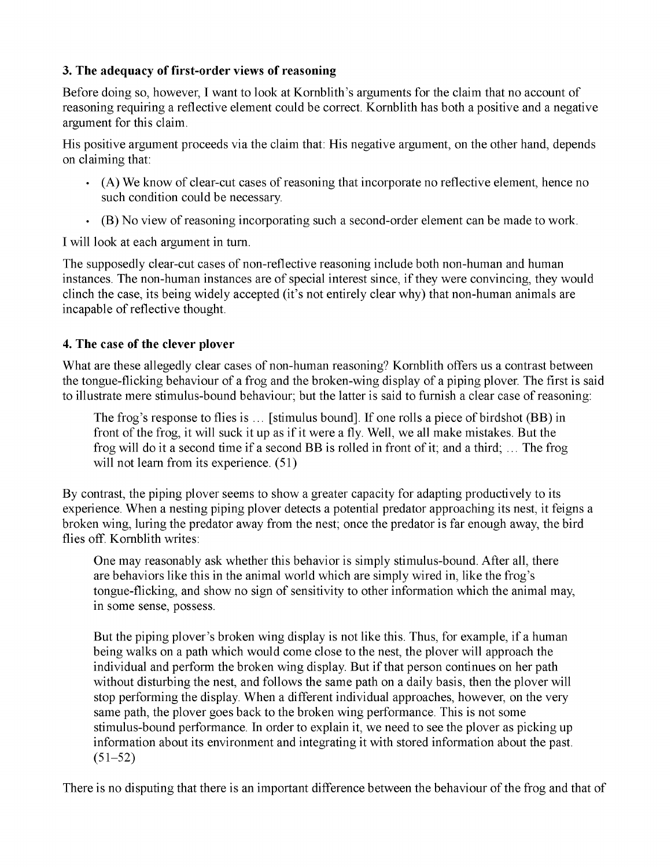### 3. The adequacy of first-order views of reasoning

Before doing so, however, I want to look at Kornblith's arguments for the claim that no account of reasoning requiring a reflective element could be correct. Kornblith has both a positive and a negative argument for this claim.

His positive argument proceeds via the claim that: His negative argument, on the other hand, depends on claiming that:

- (A) We know of clear-cut cases of reasoning that incorporate no reflective element, hence no such condition could be necessary.
- (B) No view of reasoning incorporating such a second-order element can be made to work.

I will look at each argument in turn.

The supposedly clear-cut cases of non-reflective reasoning include both non-human and human instances. The non-human instances are of special interest since, if they were convincing, they would clinch the case, its being widely accepted (it's not entirely clear why) that non-human animals are incapable of reflective thought.

#### 4. The case of the clever plover

What are these allegedly clear cases of non-human reasoning? Kornblith offers us a contrast between the tongue-flicking behaviour of a frog and the broken-wing display of a piping plover. The first is said to illustrate mere stimulus-bound behaviour; but the latter is said to furnish a clear case of reasoning:

The frog's response to flies is ... [stimulus bound]. If one rolls a piece of birdshot (BB) in front of the frog, it will suck it up as if it were a fly. Well, we all make mistakes. But the frog will do it a second time if a second BB is rolled in front of it; and a third;  $\ldots$  The frog will not learn from its experience.  $(51)$ 

By contrast, the piping plover seems to show a greater capacity for adapting productively to its experience. When a nesting piping plover detects a potential predator approaching its nest, it feigns a broken wing, luring the predator away from the nest; once the predator is far enough away, the bird flies off. Kornblith writes:

One may reasonably ask whether this behavior is simply stimulus-bound. After all, there are behaviors like this in the animal world which are simply wired in, like the frog's tongue-flicking, and show no sign of sensitivity to other information which the animal may, in some sense, possess.

But the piping plover's broken wing display is not like this. Thus, for example, if a human being walks on a path which would come close to the nest, the plover will approach the individual and perform the broken wing display. But if that person continues on her path without disturbing the nest, and follows the same path on a daily basis, then the plover will stop performing the display. When a different individual approaches, however, on the very same path, the plover goes back to the broken wing performance. This is not some stimulus-bound performance. In order to explain it, we need to see the plover as picking up information about its environment and integrating it with stored information about the past.  $(51-52)$ 

There is no disputing that there is an important difference between the behaviour of the frog and that of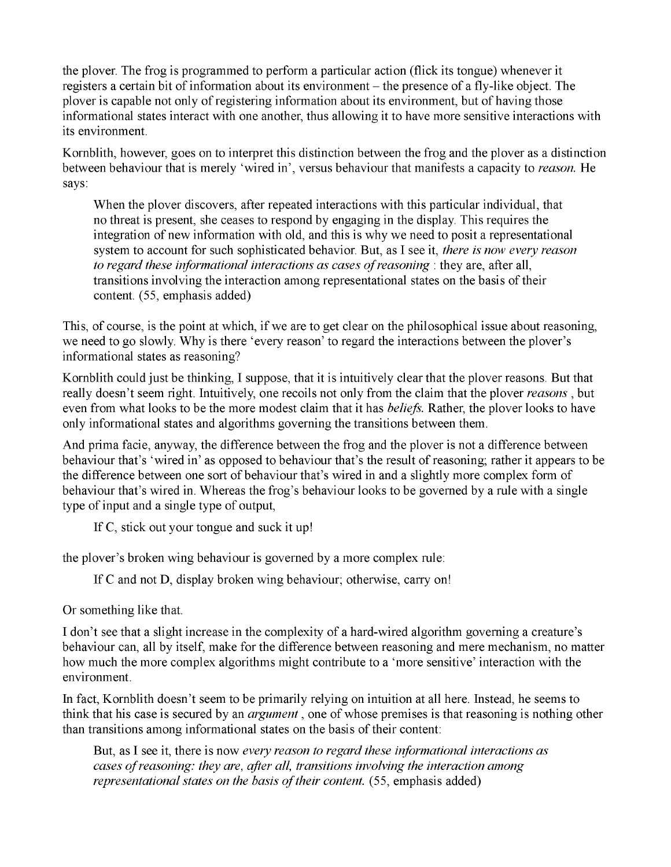the plover. The frog is programmed to perform a particular action (flick its tongue) whenever it registers <sup>a</sup> certain bit of information about its environment-the presence of <sup>a</sup> fly-like object. The plover is capable not only of registering information about its environment, but of having those informational states interact with one another, thus allowing it to have more sensitive interactions with its environment.

Kornblith, however, goes on to interpret this distinction between the frog and the plover as a distinction between behaviour that is merely 'wired in', versus behaviour that manifests a capacity to *reason*. He says:

When the plover discovers, after repeated interactions with this particular individual, that no threat is present, she ceases to respond by engaging in the display. This requires the integration of new information with old, and this is why we need to posit a representational system to account for such sophisticated behavior. But, as I see it, *there is now every reason* to regard these informational interactions as cases of reasoning : they are, after all, transitions involving the interaction among representational states on the basis of their content. (55, emphasis added)

This, of course, is the point at which, if we are to get clear on the philosophical issue about reasoning, we need to go slowly. Why is there 'every reason' to regard the interactions between the plover's informational states as reasoning?

Kornblith could just be thinking, I suppose, that it is intuitively clear that the plover reasons. But that really doesn't seem right. Intuitively, one recoils not only from the claim that the plover *reasons*, but even from what looks to be the more modest claim that it has *beliefs*. Rather, the plover looks to have only informational states and algorithms governing the transitions between them.

And prima facie, anyway, the difference between the frog and the plover is not a difference between behaviour that's 'wired in' as opposed to behaviour that's the result of reasoning; rather it appears to be the difference between one sort of behaviour that's wired in and a slightly more complex form of behaviour that's wired in. Whereas the frog's behaviour looks to be governed by a rule with a single type of input and a single type of output,

If C, stick out your tongue and suck it up!

the plover's broken wing behaviour is governed by a more complex rule:

If C and not D, display broken wing behaviour; otherwise, carry on!

Or something like that.

I don't see that a slight increase in the complexity of a hard-wired algorithm governing a creature's behaviour can, all by itself, make for the difference between reasoning and mere mechanism, no matter how much the more complex algorithms might contribute to a 'more sensitive' interaction with the environment.

In fact, Kornblith doesn't seem to be primarily relying on intuition at all here. Instead, he seems to think that his case is secured by an *argument*, one of whose premises is that reasoning is nothing other than transitions among informational states on the basis of their content:

But, as I see it, there is now every reason to regard these informational interactions as cases of reasoning: they are, after all, transitions involving the interaction among representational states on the basis of their content. (55, emphasis added)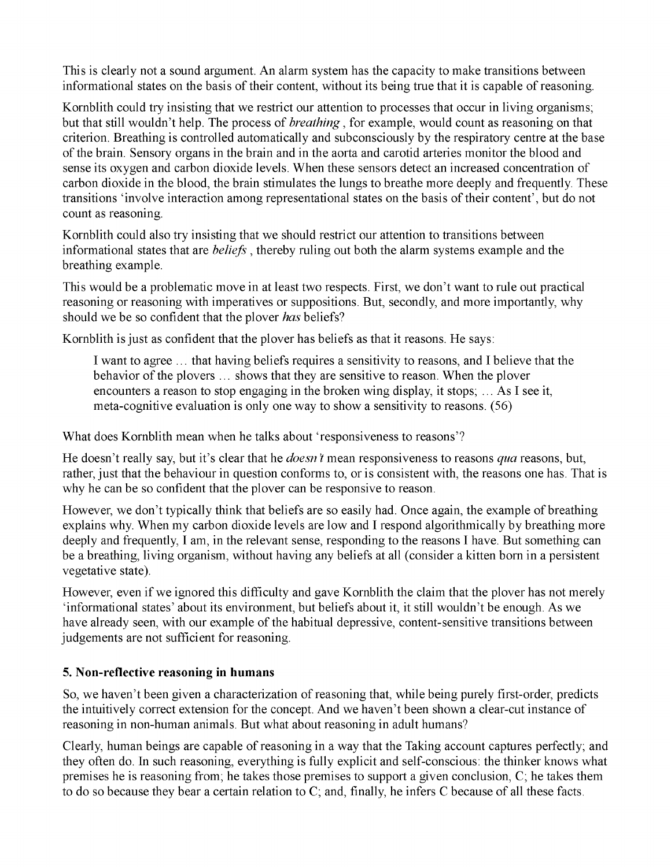This is clearly not a sound argument. An alarm system has the capacity to make transitions between informational states on the basis of their content, without its being true that it is capable of reasoning.

Kornblith could try insisting that we restrict our attention to processes that occur in living organisms; but that still wouldn't help. The process of *breathing*, for example, would count as reasoning on that criterion. Breathing is controlled automatically and subconsciously by the respiratory centre at the base ofthe brain. Sensory organs in the brain and in the aorta and carotid arteries monitor the blood and sense its oxygen and carbon dioxide levels. When these sensors detect an increased concentration of carbon dioxide in the blood, the brain stimulates the lungs to breathe more deeply and frequently. These transitions 'involve interaction among representational states on the basis of their content', but do not count as reasoning.

Kornblith could also try insisting that we should restrict our attention to transitions between informational states that are *beliefs* , thereby ruling out both the alarm systems example and the breathing example.

This would be a problematic move in at least two respects. First, we don't want to rule out practical reasoning or reasoning with imperatives or suppositions. But, secondly, and more importantly, why should we be so confident that the plover *has* beliefs?

Kornblith is just as confident that the plover has beliefs as that it reasons. He says:

I want to agree ... that having beliefs requires a sensitivity to reasons, and I believe that the behavior of the plovers ... shows that they are sensitive to reason. When the plover encounters a reason to stop engaging in the broken wing display, it stops; ... As I see it, meta-cognitive evaluation is only one way to show a sensitivity to reasons. (56)

What does Kornblith mean when he talks about 'responsiveness to reasons'?

He doesn't really say, but it's clear that he *doesn't* mean responsiveness to reasons *qua* reasons, but, rather, just that the behaviour in question conforms to, or is consistent with, the reasons one has. That is why he can be so confident that the plover can be responsive to reason.

However, we don't typically think that beliefs are so easily had. Once again, the example of breathing explains why. When my carbon dioxide levels are low and I respond algorithmically by breathing more deeply and frequently, I am, in the relevant sense, responding to the reasons I have. But something can be a breathing, living organism, without having any beliefs at all (consider a kitten born in a persistent vegetative state).

However, even if we ignored this difficulty and gave Kornblith the claim that the plover has not merely 'informational states' about its environment, but beliefs about it, it still wouldn't be enough. As we have already seen, with our example of the habitual depressive, content-sensitive transitions between judgements are not sufficient for reasoning.

#### 5. Non-reflective reasoning in humans

So, we haven't been given a characterization of reasoning that, while being purely first-order, predicts the intuitively correct extension for the concept. And we haven't been shown a clear-cut instance of reasoning in non-human animals. But what about reasoning in adult humans?

Clearly, human beings are capable ofreasoning in a way that the Taking account captures perfectly; and they often do. In such reasoning, everything is fully explicit and self-conscious: the thinker knows what premises he is reasoning from; he takes those premises to support a given conclusion, C; he takes them to do so because they bear a certain relation to  $C$ ; and, finally, he infers  $C$  because of all these facts.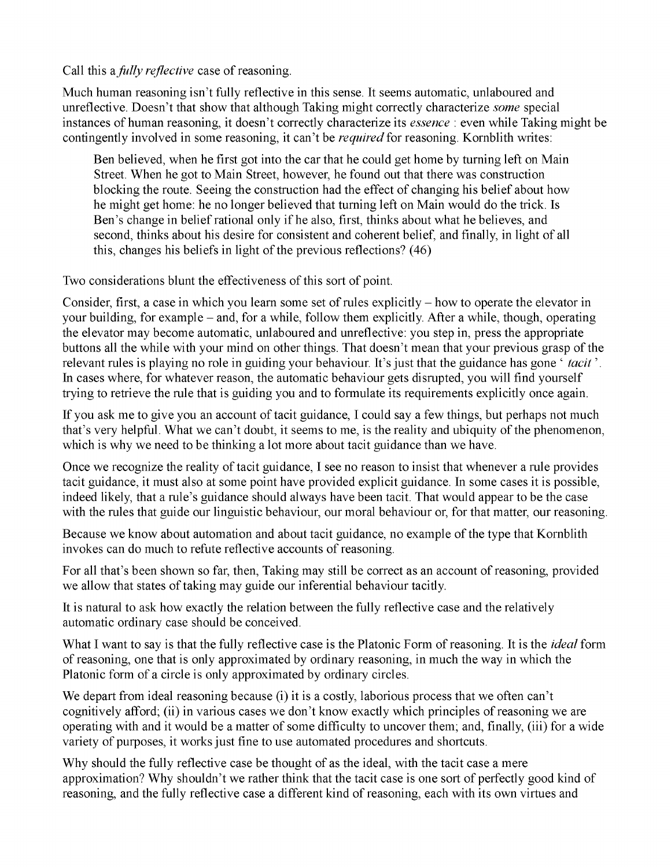Call this a *fully reflective* case of reasoning.

Much human reasoning isn't fully reflective in this sense. It seems automatic, unlaboured and unreflective. Doesn't that show that although Taking might correctly characterize some special instances of human reasoning, it doesn't correctly characterize its essence : even while Taking might be contingently involved in some reasoning, it can't be *required* for reasoning. Kornblith writes:

Ben believed, when he first got into the car that he could get home by turning left on Main Street. When he got to Main Street, however, he found out that there was construction blocking the route. Seeing the construction had the effect of changing his belief about how he might get home: he no longer believed that turning left on Main would do the trick. Is Ben's change in belief rational only if he also, first, thinks about what he believes, and second, thinks about his desire for consistent and coherent belief, and finally, in light of all this, changes his beliefs in light of the previous reflections?  $(46)$ 

Two considerations blunt the effectiveness of this sort of point.

Consider, first, a case in which you learn some set of rules explicitly  $-$  how to operate the elevator in your building, for example - and, for <sup>a</sup> while, follow them explicitly. After <sup>a</sup> while, though, operating the elevator may become automatic, unlaboured and unreflective: you step in, press the appropriate buttons all the while with your mind on other things. That doesn't mean that your previous grasp of the relevant rules is playing no role in guiding your behaviour. It's just that the guidance has gone ' *tacit*'. In cases where, for whatever reason, the automatic behaviour gets disrupted, you will find yourself trying to retrieve the rule that is guiding you and to formulate its requirements explicitly once again.

If you ask me to give you an account of tacit guidance, I could say a few things, but perhaps not much that's very helpful. What we can't doubt, it seems to me, is the reality and ubiquity of the phenomenon, which is why we need to be thinking a lot more about tacit guidance than we have.

Once we recognize the reality of tacit guidance, I see no reason to insist that whenever a rule provides tacit guidance, it must also at some point have provided explicit guidance. In some cases it is possible, indeed likely, that a rule's guidance should always have been tacit. That would appear to be the case with the rules that guide our linguistic behaviour, our moral behaviour or, for that matter, our reasoning.

Because we know about automation and about tacit guidance, no example of the type that Kornblith invokes can do much to refute reflective accounts of reasoning.

For all that's been shown so far, then, Taking may still be correct as an account ofreasoning, provided we allow that states of taking may guide our inferential behaviour tacitly.

It is natural to ask how exactly the relation between the fully reflective case and the relatively automatic ordinary case should be conceived.

What I want to say is that the fully reflective case is the Platonic Form of reasoning. It is the *ideal* form of reasoning, one that is only approximated by ordinary reasoning, in much the way in which the Platonic form of a circle is only approximated by ordinary circles.

We depart from ideal reasoning because (i) it is a costly, laborious process that we often can't cognitively afford; (ii) in various cases we don't know exactly which principles ofreasoning we are operating with and it would be a matter of some difficulty to uncover them; and, finally, (iii) for a wide variety of purposes, it works just fine to use automated procedures and shortcuts.

Why should the fully reflective case be thought of as the ideal, with the tacit case a mere approximation? Why shouldn't we rather think that the tacit case is one sort of perfectly good kind of reasoning, and the fully reflective case a different kind of reasoning, each with its own virtues and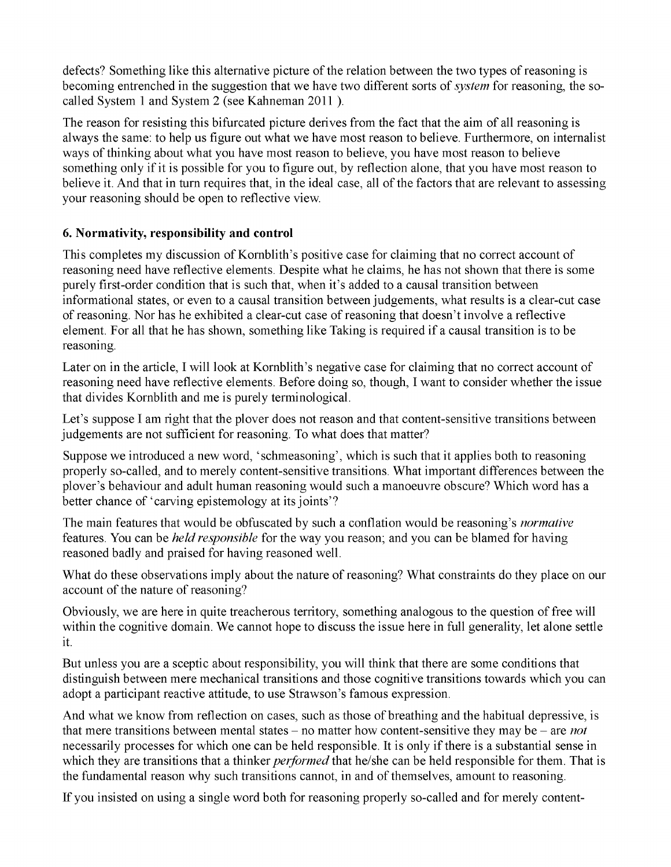defects? Something like this alternative picture of the relation between the two types of reasoning is becoming entrenched in the suggestion that we have two different sorts of system for reasoning, the socalled System 1 and System 2 (see Kahneman 2011 ).

The reason for resisting this bifurcated picture derives from the fact that the aim of all reasoning is always the same: to help us figure out what we have most reason to believe. Furthermore, on internalist ways of thinking about what you have most reason to believe, you have most reason to believe something only if it is possible for you to figure out, by reflection alone, that you have most reason to believe it. And that in turn requires that, in the ideal case, all of the factors that are relevant to assessing your reasoning should be open to reflective view.

## 6. Normativity, responsibility and control

This completes my discussion of Kornblith's positive case for claiming that no correct account of reasoning need have reflective elements. Despite what he claims, he has not shown that there is some purely first-order condition that is such that, when it's added to a causal transition between informational states, or even to a causal transition between judgements, what results is a clear-cut case of reasoning. Nor has he exhibited a clear-cut case of reasoning that doesn't involve a reflective element. For all that he has shown, something like Taking is required if a causal transition is to be reasoning.

Later on in the article, I will look at Kornblith's negative case for claiming that no correct account of reasoning need have reflective elements. Before doing so, though, I want to consider whether the issue that divides Kornblith and me is purely terminological.

Let's suppose I am right that the plover does not reason and that content-sensitive transitions between judgements are not sufficient for reasoning. To what does that matter?

Suppose we introduced a new word, 'schmeasoning', which is such that it applies both to reasoning properly so-called, and to merely content-sensitive transitions.What important differences between the plover's behaviour and adult human reasoning would such a manoeuvre obscure? Which word has a better chance of 'carving epistemology at its joints'?

The main features that would be obfuscated by such a conflation would be reasoning's *normative* features. You can be held responsible for the way you reason; and you can be blamed for having reasoned badly and praised for having reasoned well.

What do these observations imply about the nature of reasoning? What constraints do they place on our account of the nature of reasoning?

Obviously, we are here in quite treacherous territory, something analogous to the question of free will within the cognitive domain. We cannot hope to discuss the issue here in full generality, let alone settle it.

But unless you are a sceptic about responsibility, you will think that there are some conditions that distinguish between mere mechanical transitions and those cognitive transitions towards which you can adopt a participant reactive attitude, to use Strawson's famous expression.

And what we know from reflection on cases, such as those of breathing and the habitual depressive, is that mere transitions between mental states – no matter how content-sensitive they may be – are *not* necessarily processes for which one can be held responsible. It is only if there is a substantial sense in which they are transitions that a thinker *performed* that he/she can be held responsible for them. That is the fundamental reason why such transitions cannot, in and of themselves, amount to reasoning.

If you insisted on using a single word both for reasoning properly so-called and for merely content-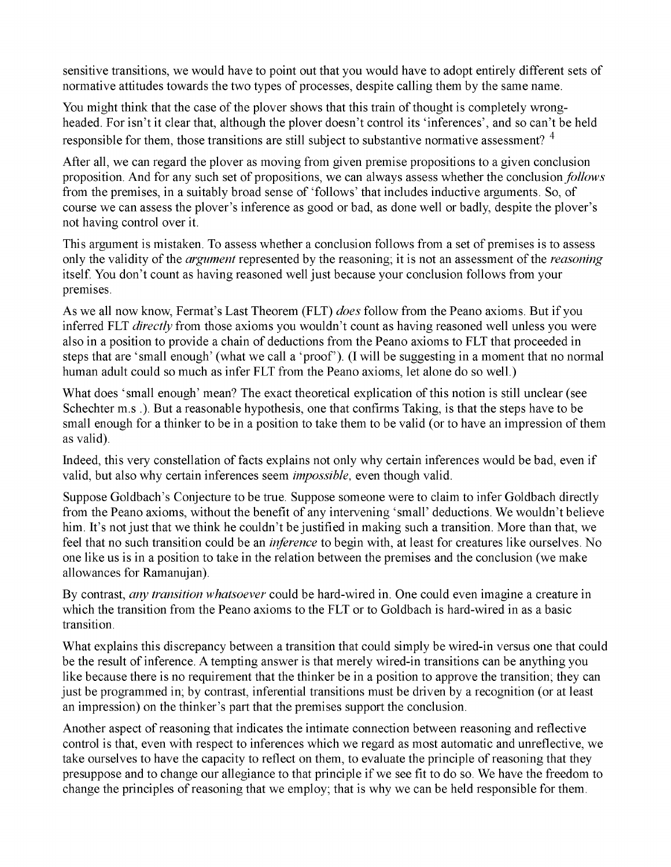sensitive transitions, we would have to point out that you would have to adopt entirely different sets of normative attitudes towards the two types of processes, despite calling them by the same name.

You might think that the case of the plover shows that this train of thought is completely wrongheaded. For isn't it clear that, although the plover doesn't control its 'inferences', and so can't be held responsible for them, those transitions are still subject to substantive normative assessment?  $4$ 

After all, we can regard the plover as moving from given premise propositions to a given conclusion proposition. And for any such set of propositions, we can always assess whether the conclusion *follows* from the premises, in a suitably broad sense of'follows' that includes inductive arguments. So, of course we can assess the plover's inference as good or bad, as done well or badly, despite the plover's not having control over it.

This argument is mistaken. To assess whether a conclusion follows from a set of premises is to assess only the validity of the *argument* represented by the reasoning; it is not an assessment of the *reasoning* itself. You don't count as having reasoned well just because your conclusion follows from your premises.

As we all now know, Fermat's Last Theorem (FLT) *does* follow from the Peano axioms. But if you inferred FLT *directly* from those axioms you wouldn't count as having reasoned well unless you were also in a position to provide a chain of deductions from the Peano axioms to FLT that proceeded in steps that are 'small enough' (what we call a 'proof'). (I will be suggesting in a moment that no normal human adult could so much as infer FLT from the Peano axioms, let alone do so well.)

What does 'small enough' mean? The exact theoretical explication of this notion is still unclear (see Schechter m.s .). But a reasonable hypothesis, one that confirms Taking, is that the steps have to be small enough for a thinker to be in a position to take them to be valid (or to have an impression of them as valid).

Indeed, this very constellation of facts explains not only why certain inferences would be bad, even if valid, but also why certain inferences seem *impossible,* even though valid.

Suppose Goldbach's Conjecture to be true. Suppose someone were to claim to infer Goldbach directly from the Peano axioms, without the benefit of any intervening 'small' deductions. We wouldn't believe him. It's not just that we think he couldn't be justified in making such a transition. More than that, we feel that no such transition could be an *inference* to begin with, at least for creatures like ourselves. No one like us is in a position to take in the relation between the premises and the conclusion (we make allowances for Ramanujan).

By contrast, *any transition whatsoever* could be hard-wired in. One could even imagine a creature in which the transition from the Peano axioms to the FLT or to Goldbach is hard-wired in as a basic transition.

What explains this discrepancy between a transition that could simply be wired-in versus one that could be the result of inference. A tempting answer is that merely wired-in transitions can be anything you like because there is no requirement that the thinker be in a position to approve the transition; they can just be programmed in; by contrast, inferential transitions must be driven by a recognition (or at least an impression) on the thinker's part that the premises support the conclusion.

Another aspect of reasoning that indicates the intimate connection between reasoning and reflective control is that, even with respect to inferences which we regard as most automatic and unreflective, we take ourselves to have the capacity to reflect on them, to evaluate the principle of reasoning that they presuppose and to change our allegiance to that principle if we see fit to do so. We have the freedom to change the principles of reasoning that we employ; that is why we can be held responsible for them.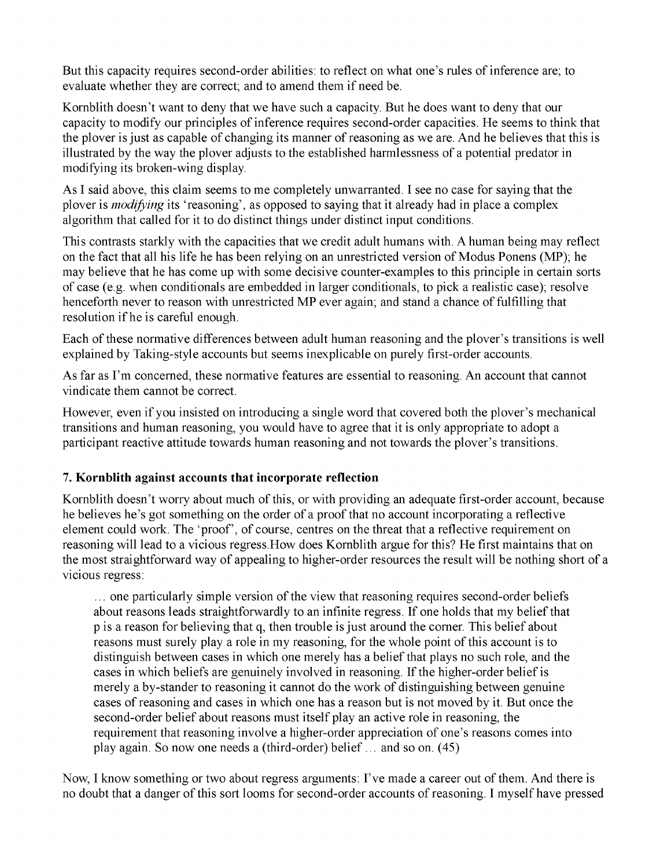But this capacity requires second-order abilities: to reflect on what one's rules of inference are; to evaluate whether they are correct; and to amend them if need be.

Kornblith doesn't want to deny that we have such a capacity. But he does want to deny that our capacity to modify our principles of inference requires second-order capacities. He seems to think that the plover is just as capable of changing its manner of reasoning as we are. And he believes that this is illustrated by the way the plover adjusts to the established harmlessness of a potential predator in modifying its broken-wing display.

As I said above, this claim seems to me completely unwarranted. I see no case for saying that the plover is *modifying* its 'reasoning', as opposed to saying that it already had in place a complex algorithm that called for it to do distinct things under distinct input conditions.

This contrasts starkly with the capacities that we credit adult humans with. A human being may reflect on the fact that all his life he has been relying on an unrestricted version of Modus Ponens (MP); he may believe that he has come up with some decisive counter-examples to this principle in certain sorts of case (e.g. when conditionals are embedded in larger conditionals, to pick a realistic case); resolve henceforth never to reason with unrestricted MP ever again; and stand a chance of fulfilling that resolution if he is careful enough.

Each ofthese normative differences between adult human reasoning and the plover's transitions is well explained by Taking-style accounts but seems inexplicable on purely first-order accounts.

As far as I'm concerned, these normative features are essential to reasoning. An account that cannot vindicate them cannot be correct.

However, even if you insisted on introducing a single word that covered both the plover's mechanical transitions and human reasoning, you would have to agree that it is only appropriate to adopt a participant reactive attitude towards human reasoning and not towards the plover's transitions.

#### 7. Kornblith against accounts that incorporate reflection

Kornblith doesn't worry about much of this, or with providing an adequate first-order account, because he believes he's got something on the order of a proof that no account incorporating a reflective element could work. The 'proof', of course, centres on the threat that a reflective requirement on reasoning will lead to a vicious regress.How does Kornblith argue for this? He first maintains that on the most straightforward way of appealing to higher-order resources the result will be nothing short of a vicious regress:

... one particularly simple version of the view that reasoning requires second-order beliefs about reasons leads straightforwardly to an infinite regress. If one holds that my belief that p is a reason for believing that q, then trouble is just around the corner. This belief about reasons must surely play a role in my reasoning, for the whole point of this account is to distinguish between cases in which one merely has a belief that plays no such role, and the cases in which beliefs are genuinely involved in reasoning. If the higher-order belief is merely a by-stander to reasoning it cannot do the work of distinguishing between genuine cases ofreasoning and cases in which one has a reason but is not moved by it. But once the second-order belief about reasons must itself play an active role in reasoning, the requirement that reasoning involve a higher-order appreciation of one's reasons comes into play again. So now one needs a (third-order) belief  $\dots$  and so on. (45)

Now, I know something or two about regress arguments: I've made a career out of them. And there is no doubt that a danger of this sort looms for second-order accounts of reasoning. I myself have pressed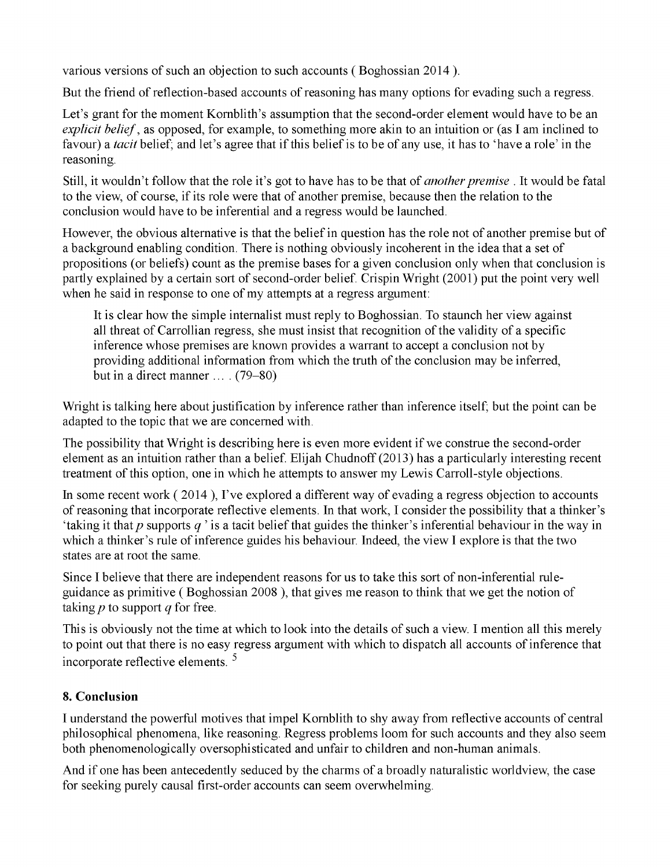various versions of such an objection to such accounts ( Boghossian 2014 ).

But the friend of reflection-based accounts of reasoning has many options for evading such a regress.

Let's grant for the moment Kornblith's assumption that the second-order element would have to be an explicit belief, as opposed, for example, to something more akin to an intuition or (as I am inclined to favour) a *tacit* belief; and let's agree that if this belief is to be of any use, it has to 'have a role' in the reasoning.

Still, it wouldn't follow that the role it's got to have has to be that of *another premise*. It would be fatal to the view, of course, if its role were that of another premise, because then the relation to the conclusion would have to be inferential and a regress would be launched.

However, the obvious alternative is that the belief in question has the role not of another premise but of a background enabling condition. There is nothing obviously incoherent in the idea that a set of propositions (or beliefs) count as the premise bases for a given conclusion only when that conclusion is partly explained by a certain sort of second-order belief. Crispin Wright (2001) put the point very well when he said in response to one of my attempts at a regress argument:

It is clear how the simple internalist must reply to Boghossian. To staunch her view against all threat of Carrollian regress, she must insist that recognition of the validity of a specific inference whose premises are known provides a warrant to accept a conclusion not by providing additional information from which the truth of the conclusion may be inferred, but in a direct manner ... . (79-80)

Wright is talking here about justification by inference rather than inference itself; but the point can be adapted to the topic that we are concerned with.

The possibility that Wright is describing here is even more evident if we construe the second-order element as an intuition rather than a belief. Elijah Chudnoff (2013) has a particularly interesting recent treatment of this option, one in which he attempts to answer my Lewis Carroll-style objections.

In some recent work ( 2014 ), I've explored a different way of evading a regress objection to accounts of reasoning that incorporate reflective elements. In that work, I consider the possibility that a thinker's 'taking it that p supports  $q$  ' is a tacit belief that guides the thinker's inferential behaviour in the way in which a thinker's rule of inference guides his behaviour. Indeed, the view I explore is that the two states are at root the same.

Since I believe that there are independent reasons for us to take this sort of non-inferential ruleguidance as primitive ( Boghossian 2008 ), that gives me reason to think that we get the notion of taking  $p$  to support  $q$  for free.

This is obviously not the time at which to look into the details of such a view. I mention all this merely to point out that there is no easy regress argument with which to dispatch all accounts of inference that incorporate reflective elements. 5

# 8. Conclusion

I understand the powerful motives that impel Kornblith to shy away from reflective accounts of central philosophical phenomena, like reasoning. Regress problems loom for such accounts and they also seem both phenomenologically oversophisticated and unfair to children and non-human animals.

And if one has been antecedently seduced by the charms of a broadly naturalistic worldview, the case for seeking purely causal first-order accounts can seem overwhelming.